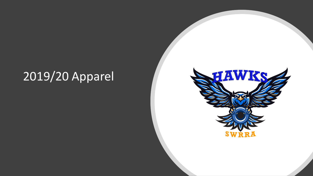#### 2019/20 Apparel

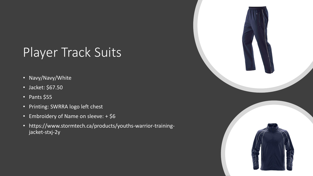### Player Track Suits

- Navy/Navy/White
- Jacket: \$67.50
- Pants \$55
- Printing: SWRRA logo left chest
- Embroidery of Name on sleeve: + \$6
- https://www.stormtech.ca/products/youths-warrior-trainingjacket-stxj-2y

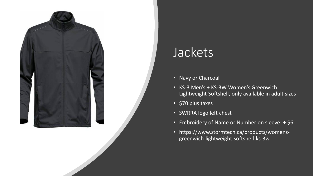

### Jackets

- Navy or Charcoal
- KS-3 Men's + KS-3W Women's Greenwich Lightweight Softshell, only available in adult sizes
- \$70 plus taxes
- SWRRA logo left chest
- Embroidery of Name or Number on sleeve: + \$6
- https://www.stormtech.ca/products/womensgreenwich-lightweight-softshell-ks-3w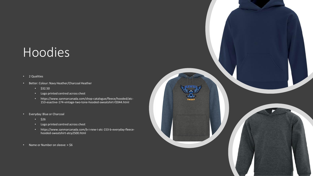#### Hoodies

- 2 Qualities
- Better: Colour: Navy Heather/Charcoal Heather
	- $\cdot$  \$32.50
	- Logo printed centred across chest
	- https://www.sanmarcanada.com/shop-catalogue/fleece/hooded/atc-153-esactive-174-vintage-two-tone-hooded-sweatshirt-f2044.html
- Everyday: Blue or Charcoal
	- $\cdot$  \$26
	- Logo printed centred across chest
	- https://www.sanmarcanada.com/b-i-new-i-atc-153-b-everyday-fleecehooded-sweatshirt-atcy2500.html
- Name or Number on sleeve: + \$6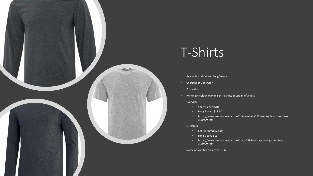

#### T-Shirts

- Available in short and Long Sleeve
- Charcoal or Light Grey
- 2 Qualities
- Printing: 4 colour logo on centre chest or upper left chest
- Everyday
	- Short sleeve: \$10
	- Long Sleeve: \$13.50
	- https://www.sanmarcanada.com/b-i-new-i-atc-153-b-everyday-cotton-teeatc1000.html
- Eurospun
	- Short Sleeve: \$13.50
	- Long Sleeve \$16
	- https://www.sanmarcanada.com/b-atc-153-b-eurospun-ring-spun-teeatc8000.html
- Name or Number on sleeve: + \$6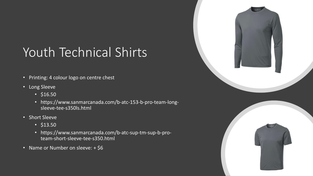## Youth Technical Shirts

- Printing: 4 colour logo on centre chest
- Long Sleeve
	- $•$  \$16.50
	- https://www.sanmarcanada.com/b-atc-153-b-pro-team-longsleeve-tee-s350ls.html
- Short Sleeve
	- $\cdot$  \$13.50
	- https://www.sanmarcanada.com/b-atc-sup-tm-sup-b-proteam-short-sleeve-tee-s350.html
- Name or Number on sleeve: + \$6

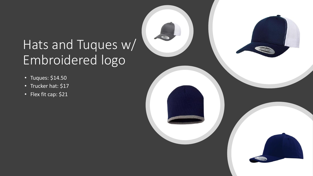### Hats and Tuques w/ Embroidered logo

- Tuques: \$14.50
- Trucker hat: \$17
- Flex fit cap: \$21